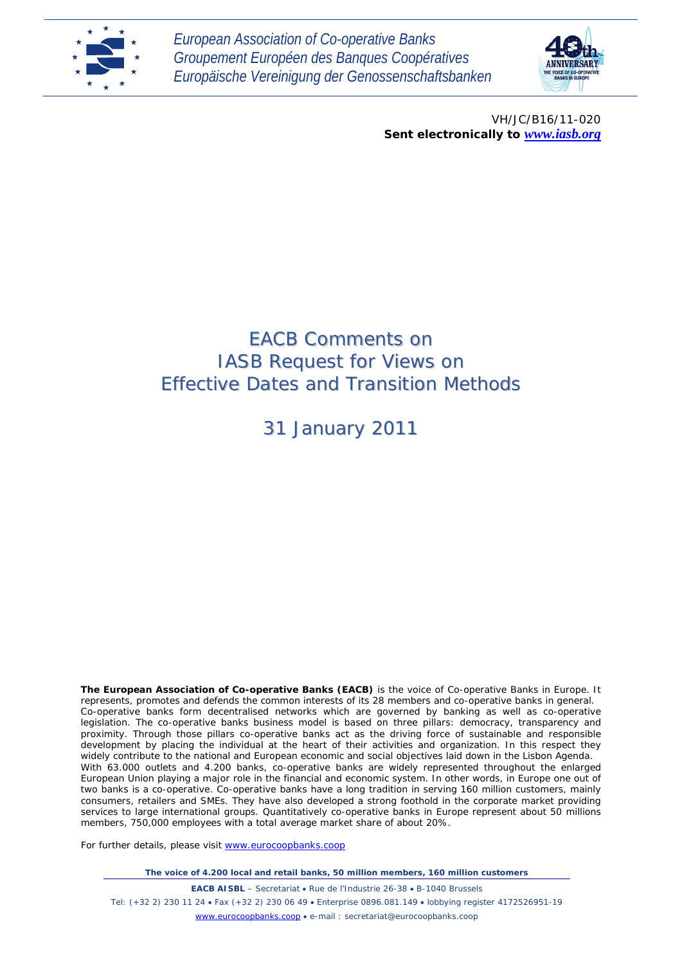

*European Association of Co-operative Banks Groupement Européen des Banques Coopératives Europäische Vereinigung der Genossenschaftsbanken*



VH/JC/B16/11-020 *Sent electronically to [www.iasb.org](http://www.iasb.org/)*

# EACB Comments on IASB Request for Views on Effective Dates and Transition Methods

31 January 2011

**The European Association of Co-operative Banks (EACB)** is the voice of Co-operative Banks in Europe. It represents, promotes and defends the common interests of its 28 members and co-operative banks in general. Co-operative banks form decentralised networks which are governed by banking as well as co-operative legislation. The co-operative banks business model is based on three pillars: democracy, transparency and proximity. Through those pillars co-operative banks act as the driving force of sustainable and responsible development by placing the individual at the heart of their activities and organization. In this respect they widely contribute to the national and European economic and social objectives laid down in the Lisbon Agenda. With 63.000 outlets and 4.200 banks, co-operative banks are widely represented throughout the enlarged European Union playing a major role in the financial and economic system. In other words, in Europe one out of two banks is a co-operative. Co-operative banks have a long tradition in serving 160 million customers, mainly consumers, retailers and SMEs. They have also developed a strong foothold in the corporate market providing services to large international groups. Quantitatively co-operative banks in Europe represent about 50 millions members, 750,000 employees with a total average market share of about 20%.

For further details, please visit [www.eurocoopbanks.coop](http://www.eurocoopbanks.coop/)

*The voice of 4.200 local and retail banks, 50 million members, 160 million customers*

**EACB AISBL** – Secretariat • Rue de l'Industrie 26-38 • B-1040 Brussels Tel: (+32 2) 230 11 24 • Fax (+32 2) 230 06 49 • Enterprise 0896.081.149 • lobbying register 4172526951-19 [www.eurocoopbanks.coop](http://www.eurocoopbanks.coop/) • e-mail : secretariat@eurocoopbanks.coop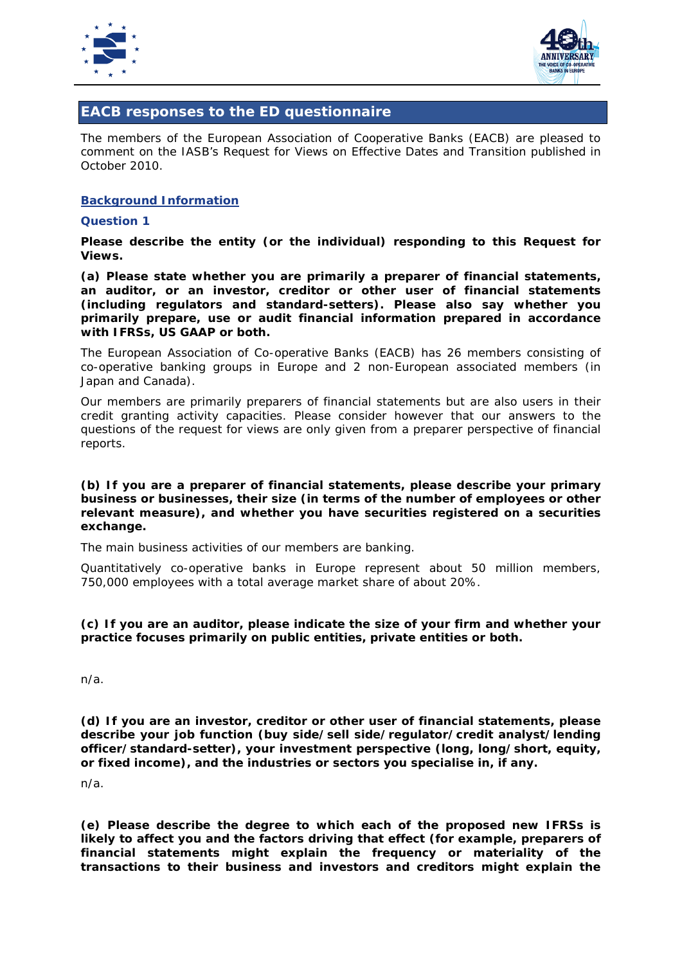



# **EACB responses to the ED questionnaire**

The members of the European Association of Cooperative Banks (EACB) are pleased to comment on the IASB's Request for Views on Effective Dates and Transition published in October 2010.

#### **Background Information**

#### **Question 1**

**Please describe the entity (or the individual) responding to this Request for Views.** 

**(a) Please state whether you are primarily a preparer of financial statements, an auditor, or an investor, creditor or other user of financial statements (including regulators and standard-setters). Please also say whether you primarily prepare, use or audit financial information prepared in accordance with IFRSs, US GAAP or both.** 

The European Association of Co-operative Banks (EACB) has 26 members consisting of co-operative banking groups in Europe and 2 non-European associated members (in Japan and Canada).

Our members are primarily preparers of financial statements but are also users in their credit granting activity capacities. Please consider however that our answers to the questions of the request for views are only given from a preparer perspective of financial reports.

#### **(b) If you are a preparer of financial statements, please describe your primary business or businesses, their size (in terms of the number of employees or other relevant measure), and whether you have securities registered on a securities exchange.**

The main business activities of our members are banking.

Quantitatively co-operative banks in Europe represent about 50 million members, 750,000 employees with a total average market share of about 20%.

# **(c) If you are an auditor, please indicate the size of your firm and whether your practice focuses primarily on public entities, private entities or both.**

n/a.

**(d) If you are an investor, creditor or other user of financial statements, please describe your job function (buy side/sell side/regulator/credit analyst/lending officer/standard-setter), your investment perspective (long, long/short, equity, or fixed income), and the industries or sectors you specialise in, if any.** 

n/a.

**(e) Please describe the degree to which each of the proposed new IFRSs is likely to affect you and the factors driving that effect (for example, preparers of financial statements might explain the frequency or materiality of the transactions to their business and investors and creditors might explain the**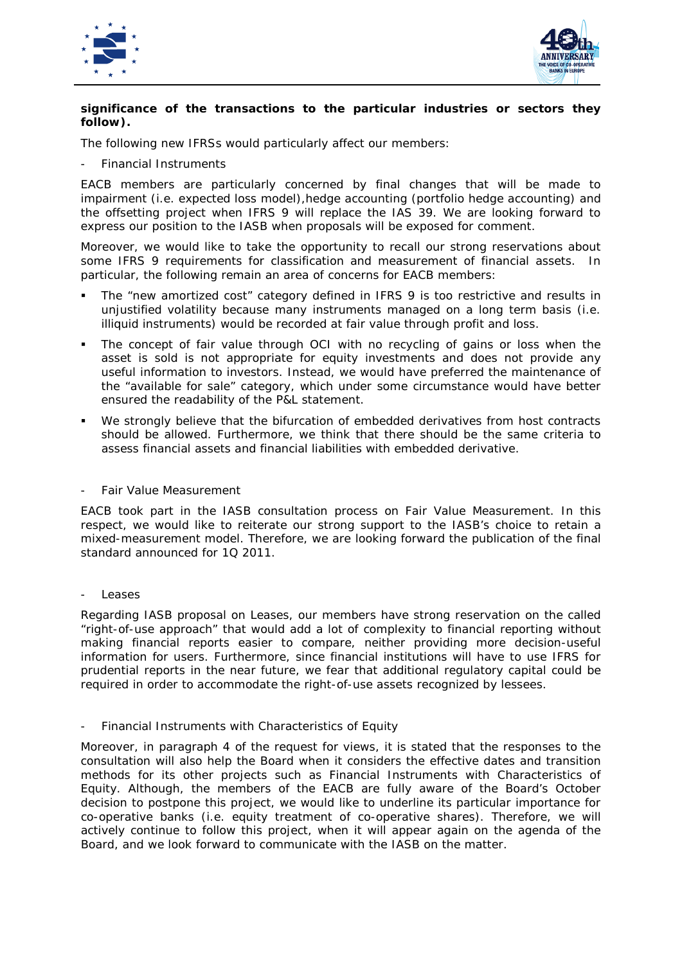



# **significance of the transactions to the particular industries or sectors they follow).**

The following new IFRSs would particularly affect our members:

- *Financial Instruments*

EACB members are particularly concerned by final changes that will be made to impairment (i.e. expected loss model),hedge accounting (portfolio hedge accounting) and the offsetting project when IFRS 9 will replace the IAS 39. We are looking forward to express our position to the IASB when proposals will be exposed for comment.

Moreover, we would like to take the opportunity to recall our strong reservations about some IFRS 9 requirements for classification and measurement of financial assets. In particular, the following remain an area of concerns for EACB members:

- The "new amortized cost" category defined in IFRS 9 is too restrictive and results in unjustified volatility because many instruments managed on a long term basis (i.e. illiquid instruments) would be recorded at fair value through profit and loss.
- The concept of fair value through OCI with no recycling of gains or loss when the asset is sold is not appropriate for equity investments and does not provide any useful information to investors. Instead, we would have preferred the maintenance of the "available for sale" category, which under some circumstance would have better ensured the readability of the P&L statement.
- We strongly believe that the bifurcation of embedded derivatives from host contracts should be allowed. Furthermore, we think that there should be the same criteria to assess financial assets and financial liabilities with embedded derivative.

- *Fair Value Measurement*

EACB took part in the IASB consultation process on Fair Value Measurement. In this respect, we would like to reiterate our strong support to the IASB's choice to retain a mixed-measurement model. Therefore, we are looking forward the publication of the final standard announced for 1Q 2011.

- *Leases*

Regarding IASB proposal on Leases, our members have strong reservation on the called "right-of-use approach" that would add a lot of complexity to financial reporting without making financial reports easier to compare, neither providing more decision-useful information for users. Furthermore, since financial institutions will have to use IFRS for prudential reports in the near future, we fear that additional regulatory capital could be required in order to accommodate the right-of-use assets recognized by lessees.

# - *Financial Instruments with Characteristics of Equity*

Moreover, in paragraph 4 of the request for views, it is stated that the responses to the consultation will also help the Board when it considers the effective dates and transition methods for its other projects such as *Financial Instruments with Characteristics of Equity*. Although, the members of the EACB are fully aware of the Board's October decision to postpone this project, we would like to underline its particular importance for co-operative banks (i.e. equity treatment of co-operative shares). Therefore, we will actively continue to follow this project, when it will appear again on the agenda of the Board, and we look forward to communicate with the IASB on the matter.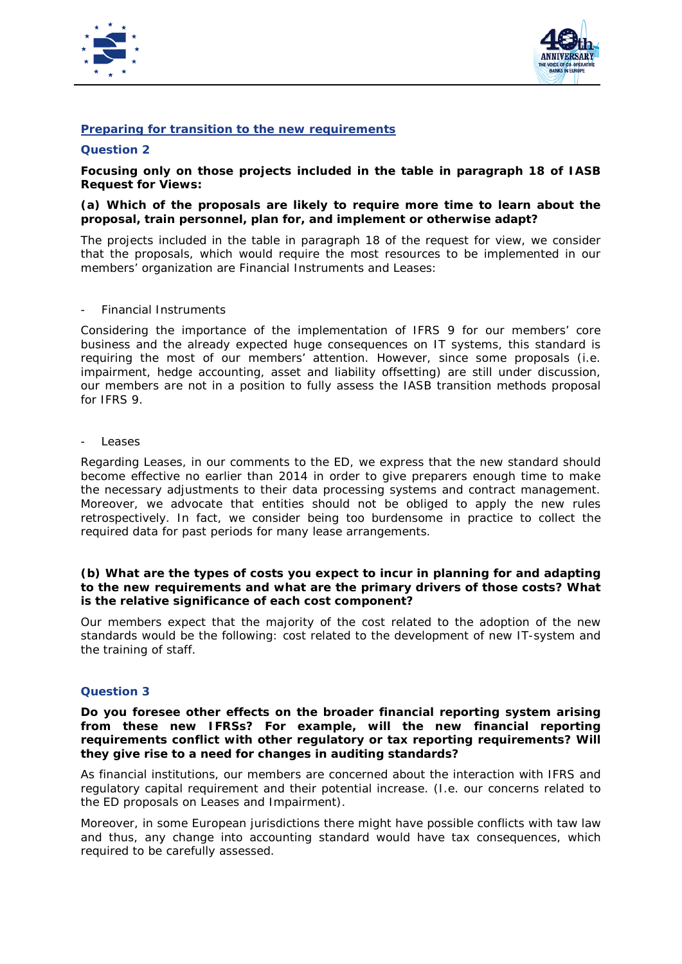



# **Preparing for transition to the new requirements**

# **Question 2**

**Focusing only on those projects included in the table in paragraph 18 of IASB Request for Views:** 

#### **(a) Which of the proposals are likely to require more time to learn about the proposal, train personnel, plan for, and implement or otherwise adapt?**

The projects included in the table in paragraph 18 of the request for view, we consider that the proposals, which would require the most resources to be implemented in our members' organization are Financial Instruments and Leases:

#### - *Financial Instruments*

Considering the importance of the implementation of IFRS 9 for our members' core business and the already expected huge consequences on IT systems, this standard is requiring the most of our members' attention. However, since some proposals (i.e. impairment, hedge accounting, asset and liability offsetting) are still under discussion, our members are not in a position to fully assess the IASB transition methods proposal for IFRS 9.

#### - *Leases*

Regarding Leases, in our comments to the ED, we express that the new standard should become effective no earlier than 2014 in order to give preparers enough time to make the necessary adjustments to their data processing systems and contract management. Moreover, we advocate that entities should not be obliged to apply the new rules retrospectively. In fact, we consider being too burdensome in practice to collect the required data for past periods for many lease arrangements.

#### **(b) What are the types of costs you expect to incur in planning for and adapting to the new requirements and what are the primary drivers of those costs? What is the relative significance of each cost component?**

Our members expect that the majority of the cost related to the adoption of the new standards would be the following: cost related to the development of new IT-system and the training of staff.

# **Question 3**

#### **Do you foresee other effects on the broader financial reporting system arising from these new IFRSs? For example, will the new financial reporting requirements conflict with other regulatory or tax reporting requirements? Will they give rise to a need for changes in auditing standards?**

As financial institutions, our members are concerned about the interaction with IFRS and regulatory capital requirement and their potential increase. (I.e. our concerns related to the ED proposals on Leases and Impairment).

Moreover, in some European jurisdictions there might have possible conflicts with taw law and thus, any change into accounting standard would have tax consequences, which required to be carefully assessed.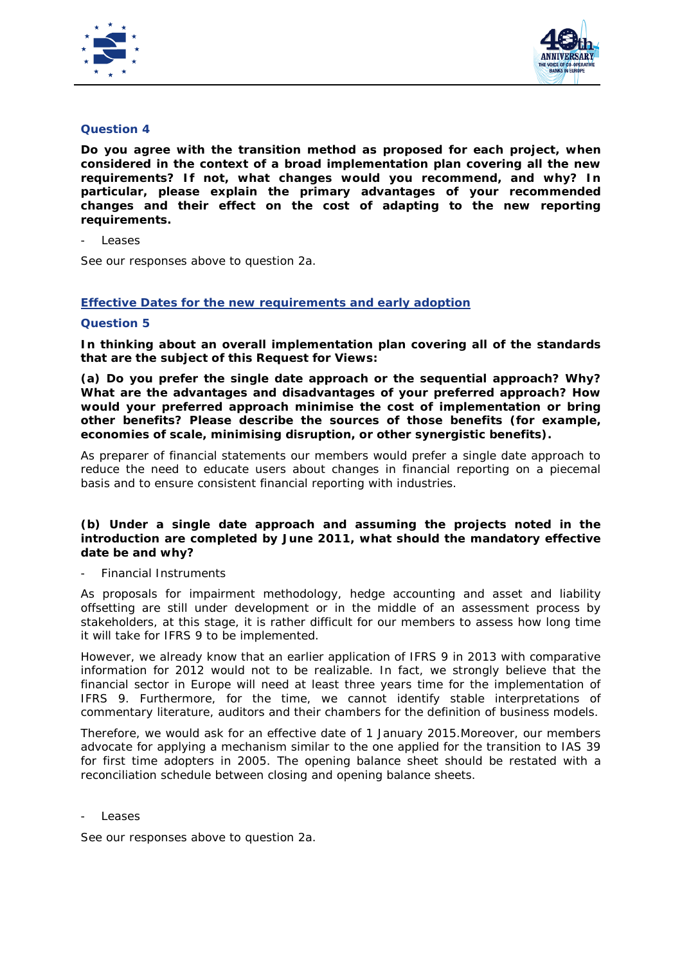



# **Question 4**

**Do you agree with the transition method as proposed for each project, when considered in the context of a broad implementation plan covering all the new requirements? If not, what changes would you recommend, and why? In particular, please explain the primary advantages of your recommended changes and their effect on the cost of adapting to the new reporting requirements.**

- *Leases*

See our responses above to question 2a.

# **Effective Dates for the new requirements and early adoption**

# **Question 5**

**In thinking about an overall implementation plan covering all of the standards that are the subject of this Request for Views:** 

**(a) Do you prefer the single date approach or the sequential approach? Why? What are the advantages and disadvantages of your preferred approach? How would your preferred approach minimise the cost of implementation or bring other benefits? Please describe the sources of those benefits (for example, economies of scale, minimising disruption, or other synergistic benefits).** 

As preparer of financial statements our members would prefer a single date approach to reduce the need to educate users about changes in financial reporting on a piecemal basis and to ensure consistent financial reporting with industries.

# **(b) Under a single date approach and assuming the projects noted in the introduction are completed by June 2011, what should the mandatory effective date be and why?**

- *Financial Instruments*

As proposals for impairment methodology, hedge accounting and asset and liability offsetting are still under development or in the middle of an assessment process by stakeholders, at this stage, it is rather difficult for our members to assess how long time it will take for IFRS 9 to be implemented.

However, we already know that an earlier application of IFRS 9 in 2013 with comparative information for 2012 would not to be realizable. In fact, we strongly believe that the financial sector in Europe will need at least three years time for the implementation of IFRS 9. Furthermore, for the time, we cannot identify stable interpretations of commentary literature, auditors and their chambers for the definition of business models.

Therefore, we would ask for an effective date of 1 January 2015.Moreover, our members advocate for applying a mechanism similar to the one applied for the transition to IAS 39 for first time adopters in 2005. The opening balance sheet should be restated with a reconciliation schedule between closing and opening balance sheets.

- *Leases*

See our responses above to question 2a.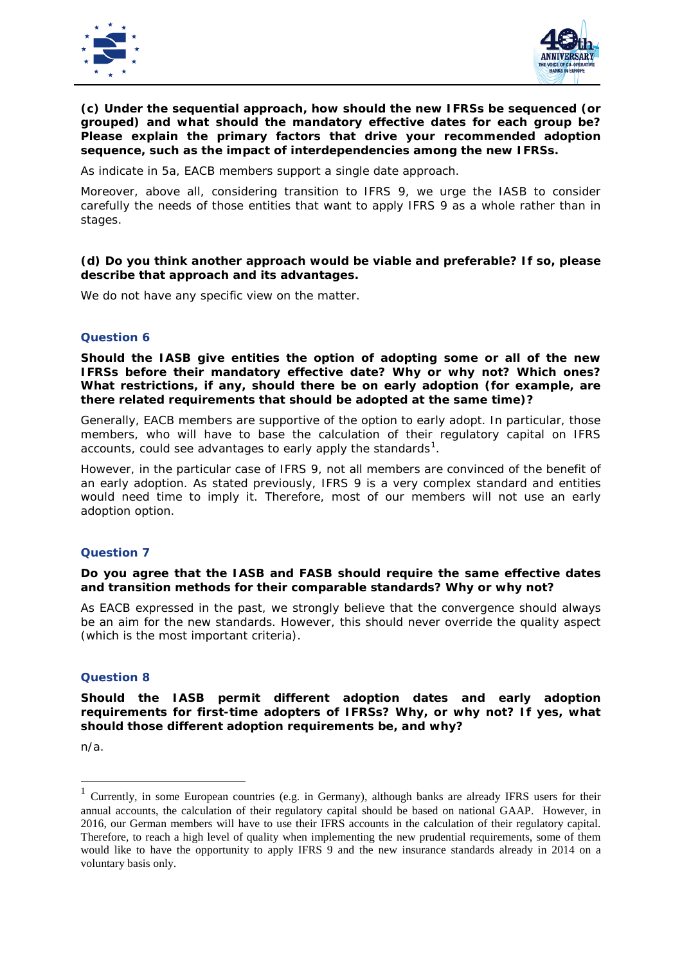



# **(c) Under the sequential approach, how should the new IFRSs be sequenced (or grouped) and what should the mandatory effective dates for each group be? Please explain the primary factors that drive your recommended adoption sequence, such as the impact of interdependencies among the new IFRSs.**

As indicate in 5a, EACB members support a single date approach.

Moreover, above all, considering transition to IFRS 9, we urge the IASB to consider carefully the needs of those entities that want to apply IFRS 9 as a whole rather than in stages.

#### **(d) Do you think another approach would be viable and preferable? If so, please describe that approach and its advantages.**

We do not have any specific view on the matter.

#### **Question 6**

**Should the IASB give entities the option of adopting some or all of the new IFRSs before their mandatory effective date? Why or why not? Which ones? What restrictions, if any, should there be on early adoption (for example, are there related requirements that should be adopted at the same time)?**

Generally, EACB members are supportive of the option to early adopt. In particular, those members, who will have to base the calculation of their regulatory capital on IFRS accounts, could see advantages to early apply the standards $^1\!\!$  $^1\!\!$  $^1\!\!$ .

However, in the particular case of IFRS 9, not all members are convinced of the benefit of an early adoption. As stated previously, IFRS 9 is a very complex standard and entities would need time to imply it. Therefore, most of our members will not use an early adoption option.

#### **Question 7**

**Do you agree that the IASB and FASB should require the same effective dates and transition methods for their comparable standards? Why or why not?**

As EACB expressed in the past, we strongly believe that the convergence should always be an aim for the new standards. However, this should never override the quality aspect (which is the most important criteria).

#### **Question 8**

**Should the IASB permit different adoption dates and early adoption requirements for first-time adopters of IFRSs? Why, or why not? If yes, what should those different adoption requirements be, and why?**

n/a.

<span id="page-5-0"></span> <sup>1</sup> Currently, in some European countries (e.g. in Germany), although banks are already IFRS users for their annual accounts, the calculation of their regulatory capital should be based on national GAAP. However, in 2016, our German members will have to use their IFRS accounts in the calculation of their regulatory capital. Therefore, to reach a high level of quality when implementing the new prudential requirements, some of them would like to have the opportunity to apply IFRS 9 and the new insurance standards already in 2014 on a voluntary basis only.